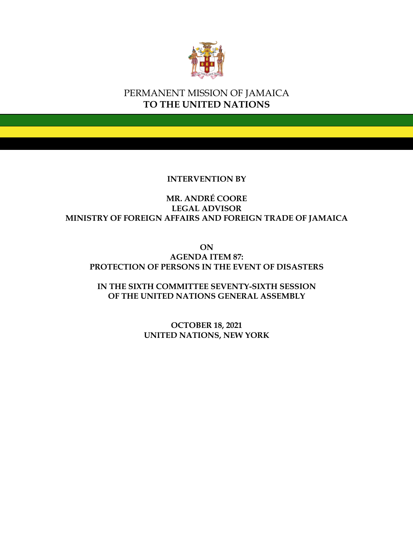

## PERMANENT MISSION OF JAMAICA **TO THE UNITED NATIONS**

## **INTERVENTION BY**

## **MR. ANDRÉ COORE LEGAL ADVISOR MINISTRY OF FOREIGN AFFAIRS AND FOREIGN TRADE OF JAMAICA**

**ON AGENDA ITEM 87: PROTECTION OF PERSONS IN THE EVENT OF DISASTERS**

**IN THE SIXTH COMMITTEE SEVENTY-SIXTH SESSION OF THE UNITED NATIONS GENERAL ASSEMBLY**

> **OCTOBER 18, 2021 UNITED NATIONS, NEW YORK**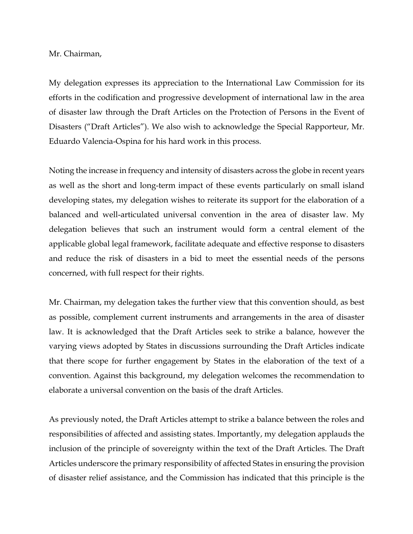Mr. Chairman,

My delegation expresses its appreciation to the International Law Commission for its efforts in the codification and progressive development of international law in the area of disaster law through the Draft Articles on the Protection of Persons in the Event of Disasters ("Draft Articles"). We also wish to acknowledge the Special Rapporteur, Mr. Eduardo Valencia-Ospina for his hard work in this process.

Noting the increase in frequency and intensity of disasters across the globe in recent years as well as the short and long-term impact of these events particularly on small island developing states, my delegation wishes to reiterate its support for the elaboration of a balanced and well-articulated universal convention in the area of disaster law. My delegation believes that such an instrument would form a central element of the applicable global legal framework, facilitate adequate and effective response to disasters and reduce the risk of disasters in a bid to meet the essential needs of the persons concerned, with full respect for their rights.

Mr. Chairman, my delegation takes the further view that this convention should, as best as possible, complement current instruments and arrangements in the area of disaster law. It is acknowledged that the Draft Articles seek to strike a balance, however the varying views adopted by States in discussions surrounding the Draft Articles indicate that there scope for further engagement by States in the elaboration of the text of a convention. Against this background, my delegation welcomes the recommendation to elaborate a universal convention on the basis of the draft Articles.

As previously noted, the Draft Articles attempt to strike a balance between the roles and responsibilities of affected and assisting states. Importantly, my delegation applauds the inclusion of the principle of sovereignty within the text of the Draft Articles. The Draft Articles underscore the primary responsibility of affected States in ensuring the provision of disaster relief assistance, and the Commission has indicated that this principle is the